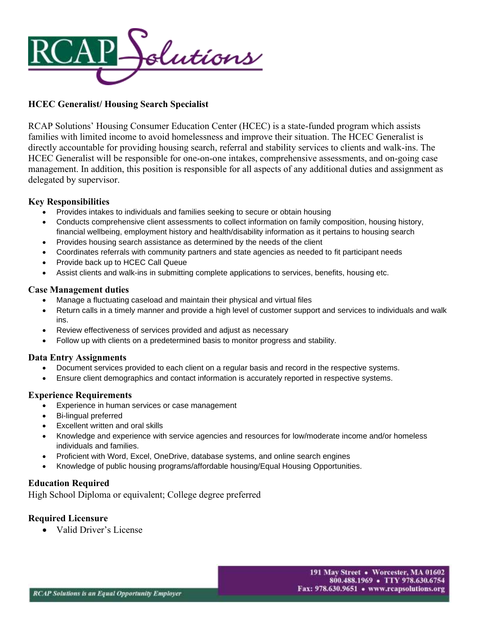

# **HCEC Generalist/ Housing Search Specialist**

RCAP Solutions' Housing Consumer Education Center (HCEC) is a state-funded program which assists families with limited income to avoid homelessness and improve their situation. The HCEC Generalist is directly accountable for providing housing search, referral and stability services to clients and walk-ins. The HCEC Generalist will be responsible for one-on-one intakes, comprehensive assessments, and on-going case management. In addition, this position is responsible for all aspects of any additional duties and assignment as delegated by supervisor.

## **Key Responsibilities**

- Provides intakes to individuals and families seeking to secure or obtain housing
- Conducts comprehensive client assessments to collect information on family composition, housing history, financial wellbeing, employment history and health/disability information as it pertains to housing search
- Provides housing search assistance as determined by the needs of the client
- Coordinates referrals with community partners and state agencies as needed to fit participant needs
- Provide back up to HCEC Call Queue
- Assist clients and walk-ins in submitting complete applications to services, benefits, housing etc.

### **Case Management duties**

- Manage a fluctuating caseload and maintain their physical and virtual files
- Return calls in a timely manner and provide a high level of customer support and services to individuals and walk ins.
- Review effectiveness of services provided and adjust as necessary
- Follow up with clients on a predetermined basis to monitor progress and stability.

### **Data Entry Assignments**

- Document services provided to each client on a regular basis and record in the respective systems.
- Ensure client demographics and contact information is accurately reported in respective systems.

### **Experience Requirements**

- Experience in human services or case management
- Bi-lingual preferred
- Excellent written and oral skills
- Knowledge and experience with service agencies and resources for low/moderate income and/or homeless individuals and families.
- Proficient with Word, Excel, OneDrive, database systems, and online search engines
- Knowledge of public housing programs/affordable housing/Equal Housing Opportunities.

## **Education Required**

High School Diploma or equivalent; College degree preferred

### **Required Licensure**

• Valid Driver's License